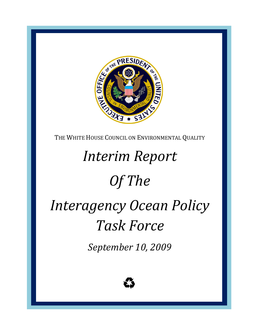

THE WHITE HOUSE COUNCIL ON ENVIRONMENTAL QUALITY

# *Interim Report*

# *Of The*

# *I nteragency Ocean Policy Task Force*

*September 10, 2009*

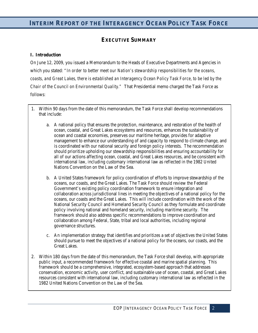# **EXECUTIVE SUMMARY**

## **I. Introduction**

On June 12, 2009, you issued a Memorandum to the Heads of Executive Departments and Agencies in which you stated: *"In order to better meet our Nation's stewardship responsibilities for the oceans, coasts, and Great Lakes, there is established an Interagency Ocean Policy Task Force, to be led by the Chair of the Council on Environmental Quality."* That Presidential memo charged the Task Force as follows:

- 1. Within 90 days from the date of this memorandum, the Task Force shall develop recommendations that include:
	- a. A national policy that ensures the protection, maintenance, and restoration of the health of ocean, coastal, and Great Lakes ecosystems and resources, enhances the sustainability of ocean and coastal economies, preserves our maritime heritage, provides for adaptive management to enhance our understanding of and capacity to respond to climate change, and is coordinated with our national security and foreign policy interests. The recommendation should prioritize upholding our stewardship responsibilities and ensuring accountability for all of our actions affecting ocean, coastal, and Great Lakes resources, and be consistent with international law, including customary international law as reflected in the 1982 United Nations Convention on the Law of the Sea.
	- b. A United States framework for policy coordination of efforts to improve stewardship of the oceans, our coasts, and the Great Lakes. The Task Force should review the Federal Government's existing policy coordination framework to ensure integration and collaboration across jurisdictional lines in meeting the objectives of a national policy for the oceans, our coasts and the Great Lakes. This will include coordination with the work of the National Security Council and Homeland Security Council as they formulate and coordinate policy involving national and homeland security, including maritime security. The framework should also address specific recommendations to improve coordination and collaboration among Federal, State, tribal and local authorities, including regional governance structures.
	- c. An implementation strategy that identifies and prioritizes a set of objectives the United States should pursue to meet the objectives of a national policy for the oceans, our coasts, and the Great Lakes.
- 2. Within 180 days from the date of this memorandum, the Task Force shall develop, with appropriate public input, a recommended framework for effective coastal and marine spatial planning. This framework should be a comprehensive, integrated, ecosystem-based approach that addresses conservation, economic activity, user conflict, and sustainable use of ocean, coastal, and Great Lakes resources consistent with international law, including customary international law as reflected in the 1982 United Nations Convention on the Law of the Sea.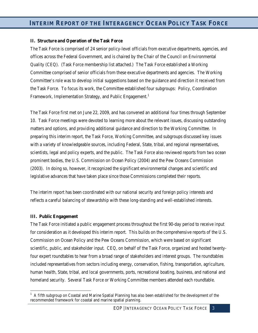#### **II. Structure and Operation of the Task Force**

The Task Force is comprised of 24 senior policy-level officials from executive departments, agencies, and offices across the Federal Government, and is chaired by the Chair of the Council on Environmental Quality (CEQ). (Task Force membership list attached.) The Task Force established a Working Committee comprised of senior officials from these executive departments and agencies. The Working Committee's role was to develop initial suggestions based on the guidance and direction it received from the Task Force. To focus its work, the Committee established four subgroups: Policy, Coordination Framework, Implementation Strategy, and Public Engagement.<sup>[1](#page-2-0)</sup>

The Task Force first met on June 22, 2009, and has convened an additional four times through September 10. Task Force meetings were devoted to learning more about the relevant issues, discussing outstanding matters and options, and providing additional guidance and direction to the Working Committee. In preparing this interim report, the Task Force, Working Committee, and subgroups discussed key issues with a variety of knowledgeable sources, including Federal, State, tribal, and regional representatives, scientists, legal and policy experts, and the public. The Task Force also reviewed reports from two ocean prominent bodies, the U.S. Commission on Ocean Policy (2004) and the Pew Oceans Commission (2003). In doing so, however, it recognized the significant environmental changes and scientific and legislative advances that have taken place since those Commissions completed their reports.

The interim report has been coordinated with our national security and foreign policy interests and reflects a careful balancing of stewardship with these long-standing and well-established interests.

#### **III. Public Engagement**

ı

The Task Force initiated a public engagement process throughout the first 90-day period to receive input for consideration as it developed this interim report. This builds on the comprehensive reports of the U.S. Commission on Ocean Policy and the Pew Oceans Commission, which were based on significant scientific, public, and stakeholder input. CEQ, on behalf of the Task Force, organized and hosted twentyfour expert roundtables to hear from a broad range of stakeholders and interest groups. The roundtables included representatives from sectors including energy, conservation, fishing, transportation, agriculture, human health, State, tribal, and local governments, ports, recreational boating, business, and national and homeland security. Several Task Force or Working Committee members attended each roundtable.

3

<span id="page-2-0"></span><sup>&</sup>lt;sup>1</sup> A fifth subgroup on Coastal and Marine Spatial Planning has also been established for the development of the recommended framework for coastal and marine spatial planning.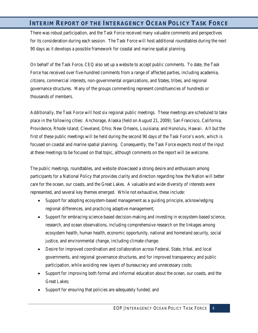There was robust participation, and the Task Force received many valuable comments and perspectives for its consideration during each session. The Task Force will host additional roundtables during the next 90 days as it develops a possible framework for coastal and marine spatial planning.

On behalf of the Task Force, CEQ also set up a website to accept public comments. To date, the Task Force has received over five-hundred comments from a range of affected parties, including academia, citizens, commercial interests, non-governmental organizations, and States, tribes, and regional governance structures. Many of the groups commenting represent constituencies of hundreds or thousands of members.

Additionally, the Task Force will host six regional public meetings. These meetings are scheduled to take place in the following cities: Anchorage, Alaska (held on August 21, 2009); San Francisco, California; Providence, Rhode Island; Cleveland, Ohio; New Orleans, Louisiana; and Honolulu, Hawaii. All but the first of these public meetings will be held during the second 90 days of the Task Force's work, which is focused on coastal and marine spatial planning. Consequently, the Task Force expects most of the input at these meetings to be focused on that topic, although comments on the report will be welcome.

The public meetings, roundtables, and website showcased a strong desire and enthusiasm among participants for a National Policy that provides clarity and direction regarding how the Nation will better care for the ocean, our coasts, and the Great Lakes. A valuable and wide diversity of interests were represented, and several key themes emerged. While not exhaustive, these include:

- Support for adopting ecosystem-based management as a guiding principle, acknowledging regional differences, and practicing adaptive management;
- Support for embracing science-based decision-making and investing in ecosystem-based science, research, and ocean observations, including comprehensive research on the linkages among ecosystem health, human health, economic opportunity, national and homeland security, social justice, and environmental change, including climate change;
- Desire for improved coordination and collaboration across Federal, State, tribal, and local governments, and regional governance structures, and for improved transparency and public participation, while avoiding new layers of bureaucracy and unnecessary costs;
- Support for improving both formal and informal education about the ocean, our coasts, and the Great Lakes;
- Support for ensuring that policies are adequately funded; and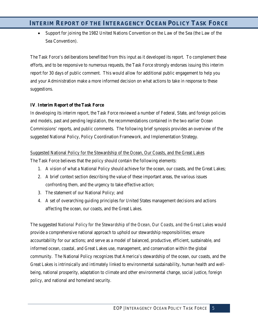• Support for joining the 1982 United Nations Convention on the Law of the Sea (the Law of the Sea Convention).

The Task Force's deliberations benefitted from this input as it developed its report. To complement these efforts, and to be responsive to numerous requests, the Task Force strongly endorses issuing this interim report for 30 days of public comment. This would allow for additional public engagement to help you and your Administration make a more informed decision on what actions to take in response to these suggestions.

## **IV**. **Interim Report of the Task Force**

In developing its interim report, the Task Force reviewed a number of Federal, State, and foreign policies and models, past and pending legislation, the recommendations contained in the two earlier Ocean Commissions' reports, and public comments. The following brief synopsis provides an overview of the suggested National Policy, Policy Coordination Framework, and Implementation Strategy.

#### Suggested National Policy for the Stewardship of the Ocean, Our Coasts, and the Great Lakes

The Task Force believes that the policy should contain the following elements:

- 1. A vision of what a National Policy should achieve for the ocean, our coasts, and the Great Lakes;
- 2. A brief context section describing the value of these important areas, the various issues confronting them, and the urgency to take effective action;
- 3. The statement of our National Policy; and
- 4. A set of overarching guiding principles for United States management decisions and actions affecting the ocean, our coasts, and the Great Lakes.

The suggested *National Policy for the Stewardship of the Ocean, Our Coasts, and the Great Lakes* would provide a comprehensive national approach to uphold our stewardship responsibilities; ensure accountability for our actions; and serve as a model of balanced, productive, efficient, sustainable, and informed ocean, coastal, and Great Lakes use, management, and conservation within the global community. The National Policy recognizes that America's stewardship of the ocean, our coasts, and the Great Lakes is intrinsically and intimately linked to environmental sustainability, human health and wellbeing, national prosperity, adaptation to climate and other environmental change, social justice, foreign policy, and national and homeland security.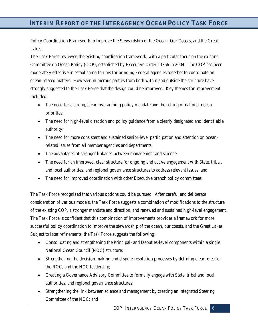# Policy Coordination Framework to Improve the Stewardship of the Ocean, Our Coasts, and the Great Lakes

The Task Force reviewed the existing coordination framework, with a particular focus on the existing Committee on Ocean Policy (COP), established by Executive Order 13366 in 2004. The COP has been moderately effective in establishing forums for bringing Federal agencies together to coordinate on ocean-related matters. However, numerous parties from both within and outside the structure have strongly suggested to the Task Force that the design could be improved. Key themes for improvement included:

- The need for a strong, clear, overarching policy mandate and the setting of national ocean priorities;
- The need for high-level direction and policy guidance from a clearly designated and identifiable authority;
- The need for more consistent and sustained senior-level participation and attention on oceanrelated issues from all member agencies and departments;
- The advantages of stronger linkages between management and science;
- The need for an improved, clear structure for ongoing and active engagement with State, tribal, and local authorities, and regional governance structures to address relevant issues; and
- The need for improved coordination with other Executive branch policy committees.

The Task Force recognized that various options could be pursued. After careful and deliberate consideration of various models, the Task Force suggests a combination of modifications to the structure of the existing COP, a stronger mandate and direction, and renewed and sustained high-level engagement. The Task Force is confident that this combination of improvements provides a framework for more successful policy coordination to improve the stewardship of the ocean, our coasts, and the Great Lakes. Subject to later refinements, the Task Force suggests the following:

- Consolidating and strengthening the Principal- and Deputies-level components within a single National Ocean Council (NOC) structure;
- Strengthening the decision-making and dispute-resolution processes by defining clear roles for the NOC, and the NOC leadership;
- Creating a Governance Advisory Committee to formally engage with State, tribal and local authorities, and regional governance structures;
- Strengthening the link between science and management by creating an integrated Steering Committee of the NOC; and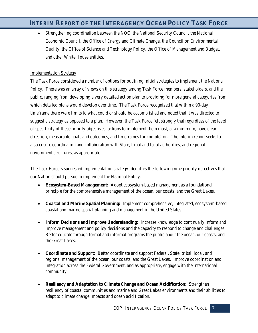• Strengthening coordination between the NOC, the National Security Council, the National Economic Council, the Office of Energy and Climate Change, the Council on Environmental Quality, the Office of Science and Technology Policy, the Office of Management and Budget, and other White House entities.

## Implementation Strategy

The Task Force considered a number of options for outlining initial strategies to implement the National Policy. There was an array of views on this strategy among Task Force members, stakeholders, and the public, ranging from developing a very detailed action plan to providing for more general categories from which detailed plans would develop over time. The Task Force recognized that within a 90-day timeframe there were limits to what could or should be accomplished and noted that it was directed to suggest a strategy as opposed to a plan. However, the Task Force felt strongly that regardless of the level of specificity of these priority objectives, actions to implement them must, at a minimum, have clear direction, measurable goals and outcomes, and timeframes for completion. The interim report seeks to also ensure coordination and collaboration with State, tribal and local authorities, and regional government structures, as appropriate.

The Task Force's suggested implementation strategy identifies the following nine priority objectives that our Nation should pursue to implement the National Policy.

- **Ecosystem-Based Management:** Adopt ecosystem-based management as a foundational principle for the comprehensive management of the ocean, our coasts, and the Great Lakes.
- **Coastal and Marine Spatial Planning:** Implement comprehensive, integrated, ecosystem-based coastal and marine spatial planning and management in the United States.
- **Inform Decisions and Improve Understanding:** Increase knowledge to continually inform and improve management and policy decisions and the capacity to respond to change and challenges. Better educate through formal and informal programs the public about the ocean, our coasts, and the Great Lakes.
- **Coordinate and Support:** Better coordinate and support Federal, State, tribal, local, and regional management of the ocean, our coasts, and the Great Lakes. Improve coordination and integration across the Federal Government, and as appropriate, engage with the international community.
- **Resiliency and Adaptation to Climate Change and Ocean Acidification:** Strengthen resiliency of coastal communities and marine and Great Lakes environments and their abilities to adapt to climate change impacts and ocean acidification.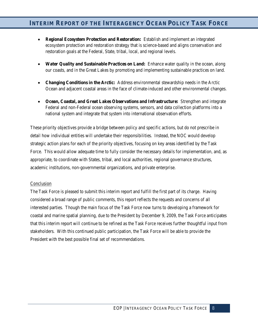- **Regional Ecosystem Protection and Restoration:** Establish and implement an integrated ecosystem protection and restoration strategy that is science-based and aligns conservation and restoration goals at the Federal, State, tribal, local, and regional levels.
- **Water Quality and Sustainable Practices on Land:** Enhance water quality in the ocean, along our coasts, and in the Great Lakes by promoting and implementing sustainable practices on land.
- **Changing Conditions in the Arctic:** Address environmental stewardship needs in the Arctic Ocean and adjacent coastal areas in the face of climate-induced and other environmental changes.
- **Ocean, Coastal, and Great Lakes Observations and Infrastructure:** Strengthen and integrate Federal and non-Federal ocean observing systems, sensors, and data collection platforms into a national system and integrate that system into international observation efforts.

These priority objectives provide a bridge between policy and specific actions, but do not prescribe in detail how individual entities will undertake their responsibilities. Instead, the NOC would develop strategic action plans for each of the priority objectives, focusing on key areas identified by the Task Force. This would allow adequate time to fully consider the necessary details for implementation, and, as appropriate, to coordinate with States, tribal, and local authorities, regional governance structures, academic institutions, non-governmental organizations, and private enterprise.

#### Conclusion

The Task Force is pleased to submit this interim report and fulfill the first part of its charge. Having considered a broad range of public comments, this report reflects the requests and concerns of all interested parties. Though the main focus of the Task Force now turns to developing a framework for coastal and marine spatial planning, due to the President by December 9, 2009, the Task Force anticipates that this interim report will continue to be refined as the Task Force receives further thoughtful input from stakeholders. With this continued public participation, the Task Force will be able to provide the President with the best possible final set of recommendations.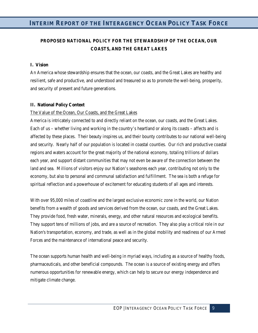# **PROPOSED NATIONAL POLICY FOR THE STEWARDSHIP OF THE OCEAN, OUR COASTS, AND THE GREAT LAKES**

#### **I. Vision**

An America whose stewardship ensures that the ocean, our coasts, and the Great Lakes are healthy and resilient, safe and productive, and understood and treasured so as to promote the well-being, prosperity, and security of present and future generations.

#### **II. National Policy Context**

#### The Value of the Ocean, Our Coasts, and the Great Lakes

America is intricately connected to and directly reliant on the ocean, our coasts, and the Great Lakes. Each of us – whether living and working in the country's heartland or along its coasts – affects and is affected by these places. Their beauty inspires us, and their bounty contributes to our national well-being and security. Nearly half of our population is located in coastal counties. Our rich and productive coastal regions and waters account for the great majority of the national economy, totaling trillions of dollars each year, and support distant communities that may not even be aware of the connection between the land and sea. Millions of visitors enjoy our Nation's seashores each year, contributing not only to the economy, but also to personal and communal satisfaction and fulfillment. The sea is both a refuge for spiritual reflection and a powerhouse of excitement for educating students of all ages and interests.

With over 95,000 miles of coastline and the largest exclusive economic zone in the world, our Nation benefits from a wealth of goods and services derived from the ocean, our coasts, and the Great Lakes. They provide food, fresh water, minerals, energy, and other natural resources and ecological benefits. They support tens of millions of jobs, and are a source of recreation. They also play a critical role in our Nation's transportation, economy, and trade, as well as in the global mobility and readiness of our Armed Forces and the maintenance of international peace and security.

The ocean supports human health and well-being in myriad ways, including as a source of healthy foods, pharmaceuticals, and other beneficial compounds. The ocean is a source of existing energy and offers numerous opportunities for renewable energy, which can help to secure our energy independence and mitigate climate change.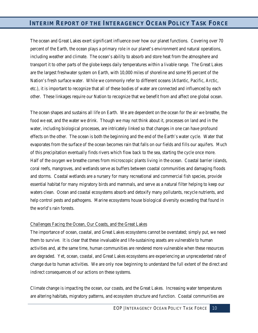The ocean and Great Lakes exert significant influence over how our planet functions. Covering over 70 percent of the Earth, the ocean plays a primary role in our planet's environment and natural operations, including weather and climate. The ocean's ability to absorb and store heat from the atmosphere and transport it to other parts of the globe keeps daily temperatures within a livable range. The Great Lakes are the largest freshwater system on Earth, with 10,000 miles of shoreline and some 95 percent of the Nation's fresh surface water. While we commonly refer to different oceans (Atlantic, Pacific, Arctic, etc.), it is important to recognize that all of these bodies of water are connected and influenced by each other. These linkages require our Nation to recognize that we benefit from and affect one global ocean.

The ocean shapes and sustains all life on Earth. We are dependent on the ocean for the air we breathe, the food we eat, and the water we drink. Though we may not think about it, processes on land and in the water, including biological processes, are intricately linked so that changes in one can have profound effects on the other. The ocean is both the beginning and the end of the Earth's water cycle. Water that evaporates from the surface of the ocean becomes rain that falls on our fields and fills our aquifers. Much of this precipitation eventually finds rivers which flow back to the sea, starting the cycle once more. Half of the oxygen we breathe comes from microscopic plants living in the ocean. Coastal barrier islands, coral reefs, mangroves, and wetlands serve as buffers between coastal communities and damaging floods and storms. Coastal wetlands are a nursery for many recreational and commercial fish species, provide essential habitat for many migratory birds and mammals, and serve as a natural filter helping to keep our waters clean. Ocean and coastal ecosystems absorb and detoxify many pollutants, recycle nutrients, and help control pests and pathogens. Marine ecosystems house biological diversity exceeding that found in the world's rain forests.

#### Challenges Facing the Ocean, Our Coasts, and the Great Lakes

The importance of ocean, coastal, and Great Lakes ecosystems cannot be overstated; simply put, we need them to survive. It is clear that these invaluable and life-sustaining assets are vulnerable to human activities and, at the same time, human communities are rendered more vulnerable when these resources are degraded. Yet, ocean, coastal, and Great Lakes ecosystems are experiencing an unprecedented rate of change due to human activities. We are only now beginning to understand the full extent of the direct and indirect consequences of our actions on these systems.

Climate change is impacting the ocean, our coasts, and the Great Lakes. Increasing water temperatures are altering habitats, migratory patterns, and ecosystem structure and function. Coastal communities are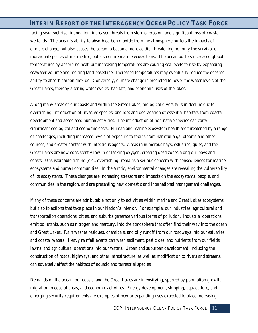facing sea-level rise, inundation, increased threats from storms, erosion, and significant loss of coastal wetlands. The ocean's ability to absorb carbon dioxide from the atmosphere buffers the impacts of climate change, but also causes the ocean to become more acidic, threatening not only the survival of individual species of marine life, but also entire marine ecosystems. The ocean buffers increased global temperatures by absorbing heat, but increasing temperatures are causing sea levels to rise by expanding seawater volume and melting land-based ice. Increased temperatures may eventually reduce the ocean's ability to absorb carbon dioxide. Conversely, climate change is predicted to lower the water levels of the Great Lakes, thereby altering water cycles, habitats, and economic uses of the lakes.

Along many areas of our coasts and within the Great Lakes, biological diversity is in decline due to overfishing, introduction of invasive species, and loss and degradation of essential habitats from coastal development and associated human activities. The introduction of non-native species can carry significant ecological and economic costs. Human and marine ecosystem health are threatened by a range of challenges, including increased levels of exposure to toxins from harmful algal blooms and other sources, and greater contact with infectious agents. Areas in numerous bays, estuaries, gulfs, and the Great Lakes are now consistently low in or lacking oxygen, creating dead zones along our bays and coasts. Unsustainable fishing (e.g., overfishing) remains a serious concern with consequences for marine ecosystems and human communities. In the Arctic, environmental changes are revealing the vulnerability of its ecosystems. These changes are increasing stressors and impacts on the ecosystems, people, and communities in the region, and are presenting new domestic and international management challenges.

Many of these concerns are attributable not only to activities within marine and Great Lakes ecosystems, but also to actions that take place in our Nation's interior. For example, our industries, agricultural and transportation operations, cities, and suburbs generate various forms of pollution. Industrial operations emit pollutants, such as nitrogen and mercury, into the atmosphere that often find their way into the ocean and Great Lakes. Rain washes residues, chemicals, and oily runoff from our roadways into our estuaries and coastal waters. Heavy rainfall events can wash sediment, pesticides, and nutrients from our fields, lawns, and agricultural operations into our waters. Urban and suburban development, including the construction of roads, highways, and other infrastructure, as well as modification to rivers and streams, can adversely affect the habitats of aquatic and terrestrial species.

Demands on the ocean, our coasts, and the Great Lakes are intensifying, spurred by population growth, migration to coastal areas, and economic activities. Energy development, shipping, aquaculture, and emerging security requirements are examples of new or expanding uses expected to place increasing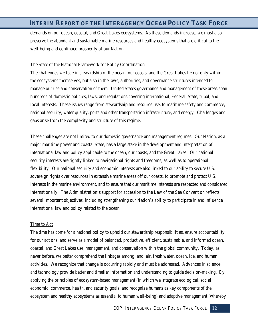demands on our ocean, coastal, and Great Lakes ecosystems. As these demands increase, we must also preserve the abundant and sustainable marine resources and healthy ecosystems that are critical to the well-being and continued prosperity of our Nation.

#### The State of the National Framework for Policy Coordination

The challenges we face in stewardship of the ocean, our coasts, and the Great Lakes lie not only within the ecosystems themselves, but also in the laws, authorities, and governance structures intended to manage our use and conservation of them. United States governance and management of these areas span hundreds of domestic policies, laws, and regulations covering international, Federal, State, tribal, and local interests. These issues range from stewardship and resource use, to maritime safety and commerce, national security, water quality, ports and other transportation infrastructure, and energy. Challenges and gaps arise from the complexity and structure of this regime.

These challenges are not limited to our domestic governance and management regimes.Our Nation, as a major maritime power and coastal State, has a large stake in the development and interpretation of international law and policy applicable to the ocean, our coasts, and the Great Lakes. Our national security interests are tightly linked to navigational rights and freedoms, as well as to operational flexibility. Our national security and economic interests are also linked to our ability to secure U.S. sovereign rights over resources in extensive marine areas off our coasts, to promote and protect U.S. interests in the marine environment, and to ensure that our maritime interests are respected and considered internationally. The Administration's support for accession to the Law of the Sea Convention reflects several important objectives, including strengthening our Nation's ability to participate in and influence international law and policy related to the ocean.

#### Time to Act

The time has come for a national policy to uphold our stewardship responsibilities, ensure accountability for our actions, and serve as a model of balanced, productive, efficient, sustainable, and informed ocean, coastal, and Great Lakes use, management, and conservation within the global community. Today, as never before, we better comprehend the linkages among land, air, fresh water, ocean, ice, and human activities. We recognize that change is occurring rapidly and must be addressed. Advances in science and technology provide better and timelier information and understanding to guide decision-making. By applying the principles of ecosystem-based management (in which we integrate ecological, social, economic, commerce, health, and security goals, and recognize humans as key components of the ecosystem and healthy ecosystems as essential to human well-being) and adaptive management (whereby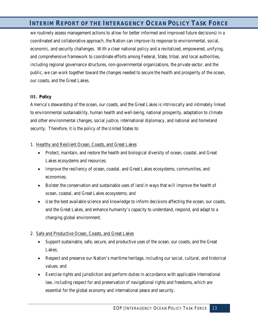we routinely assess management actions to allow for better informed and improved future decisions) in a coordinated and collaborative approach, the Nation can improve its response to environmental, social, economic, and security challenges. With a clear national policy and a revitalized, empowered, unifying, and comprehensive framework to coordinate efforts among Federal, State, tribal, and local authorities, including regional governance structures, non-governmental organizations, the private sector, and the public, we can work together toward the changes needed to secure the health and prosperity of the ocean, our coasts, and the Great Lakes.

## **III. Policy**

America's stewardship of the ocean, our coasts, and the Great Lakes is intrinsically and intimately linked to environmental sustainability, human health and well-being, national prosperity, adaptation to climate and other environmental changes, social justice, international diplomacy, and national and homeland security. Therefore, it is the policy of the United States to:

#### 1. Healthy and Resilient Ocean, Coasts, and Great Lakes

- Protect, maintain, and restore the health and biological diversity of ocean, coastal, and Great Lakes ecosystems and resources;
- Improve the resiliency of ocean, coastal, and Great Lakes ecosystems, communities, and economies;
- Bolster the conservation and sustainable uses of land in ways that will improve the health of ocean, coastal, and Great Lakes ecosystems; and
- Use the best available science and knowledge to inform decisions affecting the ocean, our coasts, and the Great Lakes, and enhance humanity's capacity to understand, respond, and adapt to a changing global environment.

## 2. Safe and Productive Ocean, Coasts, and Great Lakes

- Support sustainable, safe, secure, and productive uses of the ocean, our coasts, and the Great Lakes;
- Respect and preserve our Nation's maritime heritage, including our social, cultural, and historical values; and
- Exercise rights and jurisdiction and perform duties in accordance with applicable international law, including respect for and preservation of navigational rights and freedoms, which are essential for the global economy and international peace and security.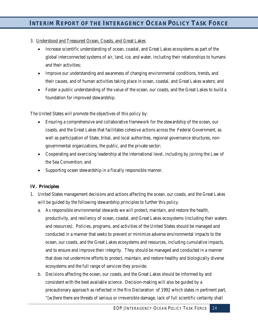- 3. Understood and Treasured Ocean, Coasts, and Great Lakes
	- Increase scientific understanding of ocean, coastal, and Great Lakes ecosystems as part of the global interconnected systems of air, land, ice, and water, including their relationships to humans and their activities;
	- Improve our understanding and awareness of changing environmental conditions, trends, and their causes, and of human activities taking place in ocean, coastal, and Great Lakes waters; and
	- Foster a public understanding of the value of the ocean, our coasts, and the Great Lakes to build a foundation for improved stewardship.

The United States will promote the objectives of this policy by:

- Ensuring a comprehensive and collaborative framework for the stewardship of the ocean, our coasts, and the Great Lakes that facilitates cohesive actions across the Federal Government, as well as participation of State, tribal, and local authorities, regional governance structures, nongovernmental organizations, the public, and the private sector;
- Cooperating and exercising leadership at the international level, including by joining the Law of the Sea Convention; and
- Supporting ocean stewardship in a fiscally responsible manner.

## **IV. Principles**

- 1. United States management decisions and actions affecting the ocean, our coasts, and the Great Lakes will be guided by the following stewardship principles to further this policy.
	- a. As responsible environmental stewards we will protect, maintain, and restore the health, productivity, and resiliency of ocean, coastal, and Great Lakes ecosystems (including their waters and resources). Policies, programs, and activities of the United States should be managed and conducted in a manner that seeks to prevent or minimize adverse environmental impacts to the ocean, our coasts, and the Great Lakes ecosystems and resources, including cumulative impacts, and to ensure and improve their integrity. They should be managed and conducted in a manner that does not undermine efforts to protect, maintain, and restore healthy and biologically diverse ecosystems and the full range of services they provide;
	- b. Decisions affecting the ocean, our coasts, and the Great Lakes should be informed by and consistent with the best available science. Decision-making will also be guided by a precautionary approach as reflected in the Rio Declaration of 1992 which states in pertinent part, "[w]here there are threats of serious or irreversible damage, lack of full scientific certainty shall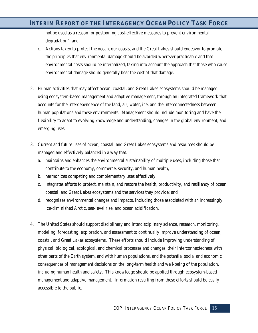not be used as a reason for postponing cost-effective measures to prevent environmental degradation"; and

- c. Actions taken to protect the ocean, our coasts, and the Great Lakes should endeavor to promote the principles that environmental damage should be avoided wherever practicable and that environmental costs should be internalized, taking into account the approach that those who cause environmental damage should generally bear the cost of that damage.
- 2. Human activities that may affect ocean, coastal, and Great Lakes ecosystems should be managed using ecosystem-based management and adaptive management, through an integrated framework that accounts for the interdependence of the land, air, water, ice, and the interconnectedness between human populations and these environments. Management should include monitoring and have the flexibility to adapt to evolving knowledge and understanding, changes in the global environment, and emerging uses.
- 3. Current and future uses of ocean, coastal, and Great Lakes ecosystems and resources should be managed and effectively balanced in a way that:
	- a. maintains and enhances the environmental sustainability of multiple uses, including those that contribute to the economy, commerce, security, and human health;
	- b. harmonizes competing and complementary uses effectively;
	- c. integrates efforts to protect, maintain, and restore the health, productivity, and resiliency of ocean, coastal, and Great Lakes ecosystems and the services they provide; and
	- d. recognizes environmental changes and impacts, including those associated with an increasingly ice-diminished Arctic, sea-level rise, and ocean acidification.
- 4. The United States should support disciplinary and interdisciplinary science, research, monitoring, modeling, forecasting, exploration, and assessment to continually improve understanding of ocean, coastal, and Great Lakes ecosystems. These efforts should include improving understanding of physical, biological, ecological, and chemical processes and changes, their interconnectedness with other parts of the Earth system, and with human populations, and the potential social and economic consequences of management decisions on the long-term health and well-being of the population, including human health and safety. This knowledge should be applied through ecosystem-based management and adaptive management. Information resulting from these efforts should be easily accessible to the public.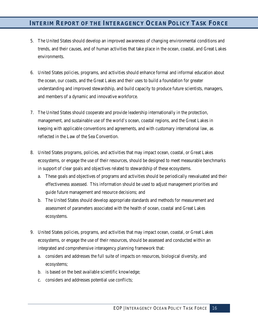- 5. The United States should develop an improved awareness of changing environmental conditions and trends, and their causes, and of human activities that take place in the ocean, coastal, and Great Lakes environments.
- 6. United States policies, programs, and activities should enhance formal and informal education about the ocean, our coasts, and the Great Lakes and their uses to build a foundation for greater understanding and improved stewardship, and build capacity to produce future scientists, managers, and members of a dynamic and innovative workforce.
- 7. The United States should cooperate and provide leadership internationally in the protection, management, and sustainable use of the world's ocean, coastal regions, and the Great Lakes in keeping with applicable conventions and agreements, and with customary international law, as reflected in the Law of the Sea Convention.
- 8. United States programs, policies, and activities that may impact ocean, coastal, or Great Lakes ecosystems, or engage the use of their resources, should be designed to meet measurable benchmarks in support of clear goals and objectives related to stewardship of these ecosystems.
	- a. These goals and objectives of programs and activities should be periodically reevaluated and their effectiveness assessed. This information should be used to adjust management priorities and guide future management and resource decisions; and
	- b. The United States should develop appropriate standards and methods for measurement and assessment of parameters associated with the health of ocean, coastal and Great Lakes ecosystems.
- 9. United States policies, programs, and activities that may impact ocean, coastal, or Great Lakes ecosystems, or engage the use of their resources, should be assessed and conducted within an integrated and comprehensive interagency planning framework that:
	- a. considers and addresses the full suite of impacts on resources, biological diversity, and ecosystems;
	- b. is based on the best available scientific knowledge;
	- c. considers and addresses potential use conflicts;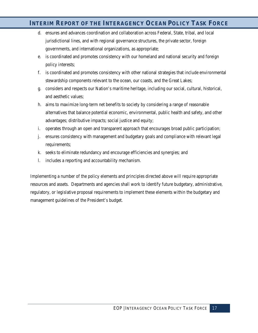- d. ensures and advances coordination and collaboration across Federal, State, tribal, and local jurisdictional lines, and with regional governance structures, the private sector, foreign governments, and international organizations, as appropriate;
- e. is coordinated and promotes consistency with our homeland and national security and foreign policy interests;
- f. is coordinated and promotes consistency with other national strategies that include environmental stewardship components relevant to the ocean, our coasts, and the Great Lakes;
- g. considers and respects our Nation's maritime heritage, including our social, cultural, historical, and aesthetic values;
- h. aims to maximize long-term net benefits to society by considering a range of reasonable alternatives that balance potential economic, environmental, public health and safety, and other advantages; distributive impacts; social justice and equity;
- i. operates through an open and transparent approach that encourages broad public participation;
- j. ensures consistency with management and budgetary goals and compliance with relevant legal requirements;
- k. seeks to eliminate redundancy and encourage efficiencies and synergies; and
- l. includes a reporting and accountability mechanism.

Implementing a number of the policy elements and principles directed above will require appropriate resources and assets. Departments and agencies shall work to identify future budgetary, administrative, regulatory, or legislative proposal requirements to implement these elements within the budgetary and management guidelines of the President's budget.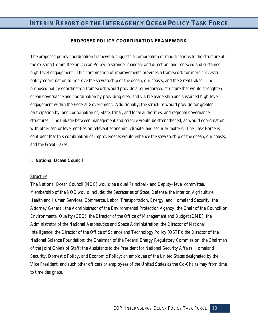## **PROPOSED POLICY COORDINATION FRAMEWORK**

The proposed policy coordination framework suggests a combination of modifications to the structure of the existing Committee on Ocean Policy, a stronger mandate and direction, and renewed and sustained high-level engagement. This combination of improvements provides a framework for more successful policy coordination to improve the stewardship of the ocean, our coasts, and the Great Lakes. The proposed policy coordination framework would provide a reinvigorated structure that would strengthen ocean governance and coordination by providing clear and visible leadership and sustained high-level engagement within the Federal Government. Additionally, the structure would provide for greater participation by, and coordination of, State, tribal, and local authorities, and regional governance structures. The linkage between management and science would be strengthened, as would coordination with other senior level entities on relevant economic, climate, and security matters. The Task Force is confident that this combination of improvements would enhance the stewardship of the ocean, our coasts, and the Great Lakes.

#### **I. National Ocean Council**

#### Structure

The National Ocean Council (NOC) would be a dual Principal - and Deputy- level committee. Membership of the NOC would include: the Secretaries of State, Defense, the Interior, Agriculture, Health and Human Services, Commerce, Labor, Transportation, Energy, and Homeland Security; the Attorney General; the Administrator of the Environmental Protection Agency; the Chair of the Council on Environmental Quality (CEQ); the Director of the Office of Management and Budget (OMB); the Administrator of the National Aeronautics and Space Administration; the Director of National Intelligence; the Director of the Office of Science and Technology Policy (OSTP); the Director of the National Science Foundation; the Chairman of the Federal Energy Regulatory Commission; the Chairman of the Joint Chiefs of Staff; the Assistants to the President for National Security Affairs, Homeland Security, Domestic Policy, and Economic Policy; an employee of the United States designated by the Vice President; and such other officers or employees of the United States as the Co-Chairs may from time to time designate.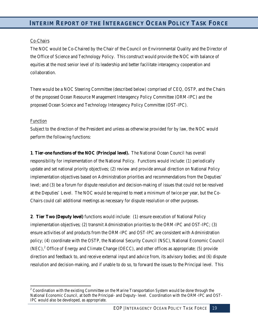## Co-Chairs

The NOC would be Co-Chaired by the Chair of the Council on Environmental Quality and the Director of the Office of Science and Technology Policy. This construct would provide the NOC with balance of equities at the most senior level of its leadership and better facilitate interagency cooperation and collaboration.

There would be a NOC Steering Committee (described below) comprised of CEQ, OSTP, and the Chairs of the proposed Ocean Resource Management Interagency Policy Committee (ORM-IPC) and the proposed Ocean Science and Technology Interagency Policy Committee (OST-IPC).

#### Function

.<br>-

Subject to the direction of the President and unless as otherwise provided for by law, the NOC would perform the following functions:

**1**. **Tier-one functions of the NOC (Principal level).** The National Ocean Council has overall responsibility for implementation of the National Policy. Functions would include: (1) periodically update and set national priority objectives; (2) review and provide annual direction on National Policy implementation objectives based on Administration priorities and recommendations from the Deputies' level; and (3) be a forum for dispute resolution and decision-making of issues that could not be resolved at the Deputies' Level. The NOC would be required to meet a minimum of twice per year, but the Co-Chairs could call additional meetings as necessary for dispute resolution or other purposes.

**2**. **Tier Two (Deputy level)** functions would include: (1) ensure execution of National Policy implementation objectives; (2) transmit Administration priorities to the ORM-IPC and OST-IPC; (3) ensure activities of and products from the ORM-IPC and OST-IPC are consistent with Administration policy; (4) coordinate with the OSTP, the National Security Council (NSC), National Economic Council  $(NEC)$ ,  $^2$  $^2$  Office of Energy and Climate Change (OECC), and other offices as appropriate; (5) provide direction and feedback to, and receive external input and advice from, its advisory bodies; and (6) dispute resolution and decision-making, and if unable to do so, to forward the issues to the Principal level. This

<span id="page-18-0"></span> $2^2$  Coordination with the existing Committee on the Marine Transportation System would be done through the National Economic Council, at both the Principal- and Deputy- level. Coordination with the ORM-IPC and OST-IPC would also be developed, as appropriate.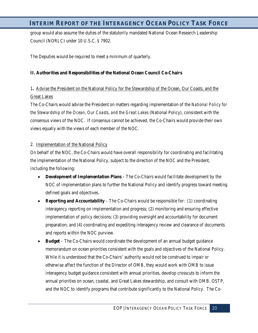group would also assume the duties of the statutorily mandated National Ocean Research Leadership Council (NORLC) under 10 U.S.C. § 7902.

The Deputies would be required to meet a minimum of quarterly.

## **II. Authorities and Responsibilities of the National Ocean Council Co-Chairs**

# 1**.** Advise the President on the National Policy for the Stewardship of the Ocean, Our Coasts, and the Great Lakes

The Co-Chairs would advise the President on matters regarding implementation of the *National Policy for the Stewardship of the Ocean, Our Coasts, and the Great Lakes* (National Policy), consistent with the consensus views of the NOC. If consensus cannot be achieved, the Co-Chairs would provide their own views equally with the views of each member of the NOC.

## 2. Implementation of the National Policy

On behalf of the NOC, the Co-Chairs would have overall responsibility for coordinating and facilitating the implementation of the National Policy, subject to the direction of the NOC and the President, including the following:

- **Development of Implementation Plans** The Co-Chairs would facilitate development by the NOC of implementation plans to further the National Policy and identify progress toward meeting defined goals and objectives.
- **Reporting and Accountability** The Co-Chairs would be responsible for: (1) coordinating interagency reporting on implementation and progress; (2) monitoring and ensuring effective implementation of policy decisions; (3) providing oversight and accountability for document preparation; and (4) coordinating and expediting interagency review and clearance of documents and reports within the NOC purview.
- **Budget** The Co-Chairs would coordinate the development of an annual budget guidance memorandum on ocean priorities consistent with the goals and objectives of the National Policy. While it is understood that the Co-Chairs' authority would not be construed to impair or otherwise affect the function of the Director of OMB, they would work with OMB to issue interagency budget guidance consistent with annual priorities, develop crosscuts to inform the annual priorities on ocean, coastal, and Great Lakes stewardship, and consult with OMB, OSTP, and the NOC to identify programs that contribute significantly to the National Policy. The Co-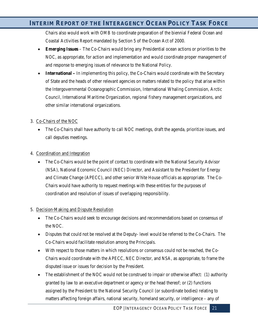Chairs also would work with OMB to coordinate preparation of the biennial Federal Ocean and Coastal Activities Report mandated by Section 5 of the Ocean Act of 2000.

- **Emerging Issues** The Co-Chairs would bring any Presidential ocean actions or priorities to the NOC, as appropriate, for action and implementation and would coordinate proper management of and response to emerging issues of relevance to the National Policy.
- **International** In implementing this policy, the Co-Chairs would coordinate with the Secretary of State and the heads of other relevant agencies on matters related to the policy that arise within the Intergovernmental Oceanographic Commission, International Whaling Commission, Arctic Council, International Maritime Organization, regional fishery management organizations, and other similar international organizations.

## 3. Co-Chairs of the NOC

• The Co-Chairs shall have authority to call NOC meetings, draft the agenda, prioritize issues, and call deputies meetings.

## 4. Coordination and Integration

• The Co-Chairs would be the point of contact to coordinate with the National Security Advisor (NSA), National Economic Council (NEC) Director, and Assistant to the President for Energy and Climate Change (APECC), and other senior White House officials as appropriate. The Co-Chairs would have authority to request meetings with these entities for the purposes of coordination and resolution of issues of overlapping responsibility.

## 5. Decision-Making and Dispute Resolution

- The Co-Chairs would seek to encourage decisions and recommendations based on consensus of the NOC.
- Disputes that could not be resolved at the Deputy- level would be referred to the Co-Chairs. The Co-Chairs would facilitate resolution among the Principals.
- With respect to those matters in which resolutions or consensus could not be reached, the Co-Chairs would coordinate with the APECC, NEC Director, and NSA, as appropriate, to frame the disputed issue or issues for decision by the President.
- The establishment of the NOC would not be construed to impair or otherwise affect: (1) authority granted by law to an executive department or agency or the head thereof; or (2) functions assigned by the President to the National Security Council (or subordinate bodies) relating to matters affecting foreign affairs, national security, homeland security, or intelligence – any of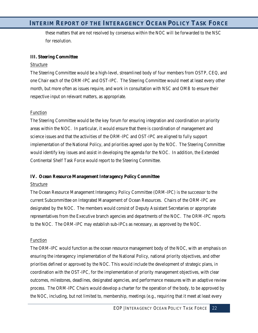these matters that are not resolved by consensus within the NOC will be forwarded to the NSC for resolution.

#### **III. Steering Committee**

#### Structure

The Steering Committee would be a high-level, streamlined body of four members from OSTP, CEQ, and one Chair each of the ORM-IPC and OST-IPC. The Steering Committee would meet at least every other month, but more often as issues require, and work in consultation with NSC and OMB to ensure their respective input on relevant matters, as appropriate.

#### **Function**

The Steering Committee would be the key forum for ensuring integration and coordination on priority areas within the NOC. In particular, it would ensure that there is coordination of management and science issues and that the activities of the ORM-IPC and OST-IPC are aligned to fully support implementation of the National Policy, and priorities agreed upon by the NOC. The Steering Committee would identify key issues and assist in developing the agenda for the NOC. In addition, the Extended Continental Shelf Task Force would report to the Steering Committee.

#### **IV. Ocean Resource Management Interagency Policy Committee**

#### Structure

The Ocean Resource Management Interagency Policy Committee (ORM-IPC) is the successor to the current Subcommittee on Integrated Management of Ocean Resources. Chairs of the ORM-IPC are designated by the NOC. The members would consist of Deputy Assistant Secretaries or appropriate representatives from the Executive branch agencies and departments of the NOC. The ORM-IPC reports to the NOC. The ORM-IPC may establish sub-IPCs as necessary, as approved by the NOC.

#### **Function**

The ORM-IPC would function as the ocean resource management body of the NOC, with an emphasis on ensuring the interagency implementation of the National Policy, national priority objectives, and other priorities defined or approved by the NOC. This would include the development of strategic plans, in coordination with the OST-IPC, for the implementation of priority management objectives, with clear outcomes, milestones, deadlines, designated agencies, and performance measures with an adaptive review process. The ORM-IPC Chairs would develop a charter for the operation of the body, to be approved by the NOC, including, but not limited to, membership, meetings (e.g., requiring that it meet at least every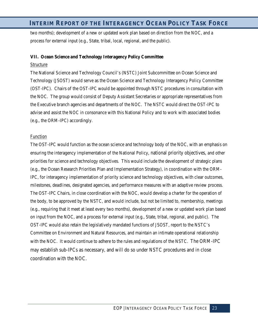two months); development of a new or updated work plan based on direction from the NOC, and a process for external input (e.g., State, tribal, local, regional, and the public).

#### **VII. Ocean Science and Technology Interagency Policy Committee**

#### Structure

The National Science and Technology Council's (NSTC) Joint Subcommittee on Ocean Science and Technology (JSOST) would serve as the Ocean Science and Technology Interagency Policy Committee (OST-IPC). Chairs of the OST-IPC would be appointed through NSTC procedures in consultation with the NOC. The group would consist of Deputy Assistant Secretaries or appropriate representatives from the Executive branch agencies and departments of the NOC. The NSTC would direct the OST-IPC to advise and assist the NOC in consonance with this National Policy and to work with associated bodies (e.g., the ORM-IPC) accordingly.

#### **Function**

The OST-IPC would function as the ocean science and technology body of the NOC, with an emphasis on ensuring the interagency implementation of the National Policy, national priority objectives, and other priorities for science and technology objectives. This would include the development of strategic plans (e.g., the Ocean Research Priorities Plan and Implementation Strategy), in coordination with the ORM-IPC, for interagency implementation of priority science and technology objectives, with clear outcomes, milestones, deadlines, designated agencies, and performance measures with an adaptive review process. The OST-IPC Chairs, in close coordination with the NOC, would develop a charter for the operation of the body, to be approved by the NSTC, and would include, but not be limited to, membership, meetings (e.g., requiring that it meet at least every two months), development of a new or updated work plan based on input from the NOC, and a process for external input (e.g., State, tribal, regional, and public). The OST-IPC would also retain the legislatively mandated functions of JSOST, report to the NSTC's Committee on Environment and Natural Resources, and maintain an intimate operational relationship with the NOC. It would continue to adhere to the rules and regulations of the NSTC. The ORM-IPC may establish sub-IPCs as necessary, and will do so under NSTC procedures and in close coordination with the NOC.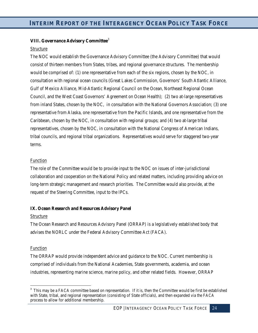## **VIII. Governance Advisory Committee**[3](#page-23-0)

## Structure

The NOC would establish the Governance Advisory Committee (the Advisory Committee) that would consist of thirteen members from States, tribes, and regional governance structures. The membership would be comprised of: (1) one representative from each of the six regions, chosen by the NOC, in consultation with regional ocean councils (Great Lakes Commission, Governors' South Atlantic Alliance, Gulf of Mexico Alliance, Mid-Atlantic Regional Council on the Ocean, Northeast Regional Ocean Council, and the West Coast Governors' Agreement on Ocean Health); (2) two at-large representatives from inland States, chosen by the NOC, in consultation with the National Governors Association; (3) one representative from Alaska, one representative from the Pacific Islands, and one representative from the Caribbean, chosen by the NOC, in consultation with regional groups; and (4) two at-large tribal representatives, chosen by the NOC, in consultation with the National Congress of American Indians, tribal councils, and regional tribal organizations. Representatives would serve for staggered two-year terms.

## Function

The role of the Committee would be to provide input to the NOC on issues of inter-jurisdictional collaboration and cooperation on the National Policy and related matters, including providing advice on long-term strategic management and research priorities. The Committee would also provide, at the request of the Steering Committee, input to the IPCs.

## **IX. Ocean Research and Resources Advisory Panel**

## Structure

The Ocean Research and Resources Advisory Panel (ORRAP) is a legislatively established body that advises the NORLC under the Federal Advisory Committee Act (FACA).

## **Function**

The ORRAP would provide independent advice and guidance to the NOC. Current membership is comprised of individuals from the National Academies, State governments, academia, and ocean industries, representing marine science, marine policy, and other related fields. However, ORRAP

<span id="page-23-0"></span><sup>-&</sup>lt;br>3 <sup>3</sup> This may be a FACA committee based on representation. If it is, then the Committee would be first be established with State, tribal, and regional representation (consisting of State officials), and then expanded via the FACA process to allow for additional membership.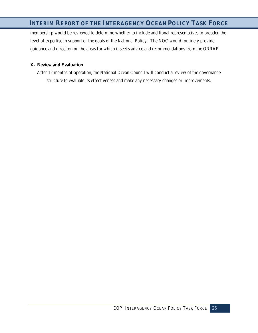membership would be reviewed to determine whether to include additional representatives to broaden the level of expertise in support of the goals of the National Policy. The NOC would routinely provide guidance and direction on the areas for which it seeks advice and recommendations from the ORRAP.

## **X. Review and Evaluation**

After 12 months of operation, the National Ocean Council will conduct a review of the governance structure to evaluate its effectiveness and make any necessary changes or improvements.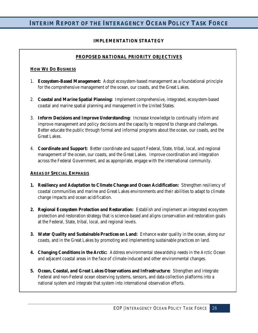# **IMPLEMENTATION STRATEGY**

# **PROPOSED NATIONAL PRIORITY OBJECTIVES**

## **HOW WE DO BUSINESS**

- 1. **Ecosystem-Based Management:** Adopt ecosystem-based management as a foundational principle for the comprehensive management of the ocean, our coasts, and the Great Lakes.
- 2. **Coastal and Marine Spatial Planning:** Implement comprehensive, integrated, ecosystem-based coastal and marine spatial planning and management in the United States.
- 3. **Inform Decisions and Improve Understanding:** Increase knowledge to continually inform and improve management and policy decisions and the capacity to respond to change and challenges. Better educate the public through formal and informal programs about the ocean, our coasts, and the Great Lakes.
- 4. **Coordinate and Support:** Better coordinate and support Federal, State, tribal, local, and regional management of the ocean, our coasts, and the Great Lakes. Improve coordination and integration across the Federal Government, and as appropriate, engage with the international community.

## **AREAS OF SPECIAL EMPHASIS**

- **1. Resiliency and Adaptation to Climate Change and Ocean Acidification:** Strengthen resiliency of coastal communities and marine and Great Lakes environments and their abilities to adapt to climate change impacts and ocean acidification.
- **2. Regional Ecosystem Protection and Restoration:** Establish and implement an integrated ecosystem protection and restoration strategy that is science-based and aligns conservation and restoration goals at the Federal, State, tribal, local, and regional levels.
- **3. Water Quality and Sustainable Practices on Land:** Enhance water quality in the ocean, along our coasts, and in the Great Lakes by promoting and implementing sustainable practices on land.
- **4. Changing Conditions in the Arctic:** Address environmental stewardship needs in the Arctic Ocean and adjacent coastal areas in the face of climate-induced and other environmental changes.
- **5. Ocean, Coastal, and Great Lakes Observations and Infrastructure:** Strengthen and integrate Federal and non-Federal ocean observing systems, sensors, and data collection platforms into a national system and integrate that system into international observation efforts.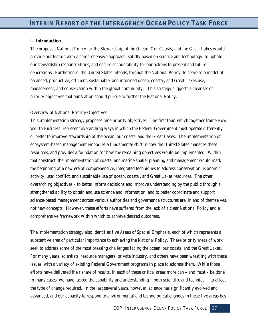#### **I. Introduction**

The proposed *National Policy for the Stewardship of the Ocean, Our Coasts, and the Great Lakes* would provide our Nation with a comprehensive approach, solidly based on science and technology, to uphold our stewardship responsibilities, and ensure accountability for our actions to present and future generations. Furthermore, the United States intends, through the National Policy, to serve as a model of balanced, productive, efficient, sustainable, and informed ocean, coastal, and Great Lakes use, management, and conservation within the global community. This strategy suggests a clear set of priority objectives that our Nation should pursue to further the National Policy.

#### Overview of National Priority Objectives

This implementation strategy proposes nine priority objectives. The first four, which together frame *How We Do Business*, represent overarching ways in which the Federal Government must operate differently or better to improve stewardship of the ocean, our coasts, and the Great Lakes. The implementation of ecosystem-based management embodies a fundamental shift in how the United States manages these resources, and provides a foundation for how the remaining objectives would be implemented. Within that construct, the implementation of coastal and marine spatial planning and management would mark the beginning of a new era of comprehensive, integrated techniques to address conservation, economic activity, user conflict, and sustainable use of ocean, coastal, and Great Lakes resources. The other overarching objectives – to better inform decisions and improve understanding by the public through a strengthened ability to obtain and use science and information, and to better coordinate and support science-based management across various authorities and governance structures are, in and of themselves, not new concepts. However, these efforts have suffered from the lack of a clear National Policy and a comprehensive framework within which to achieve desired outcomes.

The implementation strategy also identifies five *Areas of Special Emphasis*, each of which represents a substantive area of particular importance to achieving the National Policy. These priority areas of work seek to address some of the most pressing challenges facing the ocean, our coasts, and the Great Lakes. For many years, scientists, resource managers, private industry, and others have been wrestling with these issues, with a variety of existing Federal Government programs in place to address them. While those efforts have delivered their share of results, in each of these critical areas more can – and must – be done. In many cases, we have lacked the capability and understanding – both scientific and technical – to affect the type of change required. In the last several years, however, science has significantly evolved and advanced, and our capacity to respond to environmental and technological changes in these five areas has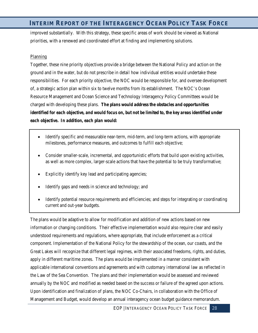improved substantially. With this strategy, these specific areas of work should be viewed as National priorities, with a renewed and coordinated effort at finding and implementing solutions.

## **Planning**

Together, these nine priority objectives provide a bridge between the National Policy and action on the ground and in the water, but do not prescribe in detail how individual entities would undertake these responsibilities. For each priority objective, the NOC would be responsible for, and oversee development of, a strategic action plan within six to twelve months from its establishment. The NOC's Ocean Resource Management and Ocean Science and Technology Interagency Policy Committees would be charged with developing these plans. *The plans would address the obstacles and opportunities identified for each objective, and would focus on, but not be limited to, the key areas identified under each objective***.** *In addition, each plan would:* 

- Identify specific and measurable near-term, mid-term, and long-term actions, with appropriate milestones, performance measures, and outcomes to fulfill each objective;
- Consider smaller-scale, incremental, and opportunistic efforts that build upon existing activities, as well as more complex, larger-scale actions that have the potential to be truly transformative;
- Explicitly identify key lead and participating agencies;
- Identify gaps and needs in science and technology; and
- Identify potential resource requirements and efficiencies; and steps for integrating or coordinating current and out-year budgets.

The plans would be adaptive to allow for modification and addition of new actions based on new information or changing conditions. Their effective implementation would also require clear and easily understood requirements and regulations, where appropriate, that include enforcement as a critical component. Implementation of the National Policy for the stewardship of the ocean, our coasts, and the Great Lakes will recognize that different legal regimes, with their associated freedoms, rights, and duties, apply in different maritime zones. The plans would be implemented in a manner consistent with applicable international conventions and agreements and with customary international law as reflected in the Law of the Sea Convention. The plans and their implementation would be assessed and reviewed annually by the NOC and modified as needed based on the success or failure of the agreed upon actions. Upon identification and finalization of plans, the NOC Co-Chairs, in collaboration with the Office of Management and Budget, would develop an annual interagency ocean budget guidance memorandum.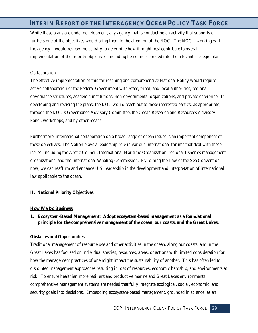While these plans are under development, any agency that is conducting an activity that supports or furthers one of the objectives would bring them to the attention of the NOC. The NOC – working with the agency – would review the activity to determine how it might best contribute to overall implementation of the priority objectives, including being incorporated into the relevant strategic plan.

#### Collaboration

The effective implementation of this far-reaching and comprehensive National Policy would require active collaboration of the Federal Government with State, tribal, and local authorities, regional governance structures, academic institutions, non-governmental organizations, and private enterprise. In developing and revising the plans, the NOC would reach out to these interested parties, as appropriate, through the NOC's Governance Advisory Committee, the Ocean Research and Resources Advisory Panel, workshops, and by other means.

Furthermore, international collaboration on a broad range of ocean issues is an important component of these objectives. The Nation plays a leadership role in various international forums that deal with these issues, including the Arctic Council, International Maritime Organization, regional fisheries management organizations, and the International Whaling Commission. By joining the Law of the Sea Convention now, we can reaffirm and enhance U.S. leadership in the development and interpretation of international law applicable to the ocean.

#### **II. National Priority Objectives**

#### **How We Do Business**

## **1. Ecosystem-Based Management: Adopt ecosystem-based management as a foundational principle for the comprehensive management of the ocean, our coasts, and the Great Lakes.**

## *Obstacles and Opportunities*

Traditional management of resource use and other activities in the ocean, along our coasts, and in the Great Lakes has focused on individual species, resources, areas, or actions with limited consideration for how the management practices of one might impact the sustainability of another. This has often led to disjointed management approaches resulting in loss of resources, economic hardship, and environments at risk. To ensure healthier, more resilient and productive marine and Great Lakes environments, comprehensive management systems are needed that fully integrate ecological, social, economic, and security goals into decisions. Embedding ecosystem-based management, grounded in science, as an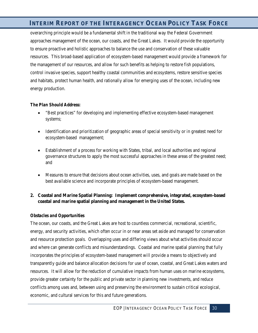overarching principle would be a fundamental shift in the traditional way the Federal Government approaches management of the ocean, our coasts, and the Great Lakes. It would provide the opportunity to ensure proactive and holistic approaches to balance the use and conservation of these valuable resources. This broad-based application of ecosystem-based management would provide a framework for the management of our resources, and allow for such benefits as helping to restore fish populations, control invasive species, support healthy coastal communities and ecosystems, restore sensitive species and habitats, protect human health, and rationally allow for emerging uses of the ocean, including new energy production.

## *The Plan Should Address:*

- "Best practices" for developing and implementing effective ecosystem-based management systems;
- Identification and prioritization of geographic areas of special sensitivity or in greatest need for ecosystem-based management;
- Establishment of a process for working with States, tribal, and local authorities and regional governance structures to apply the most successful approaches in these areas of the greatest need; and
- Measures to ensure that decisions about ocean activities, uses, and goals are made based on the best available science and incorporate principles of ecosystem-based management.

## **2. Coastal and Marine Spatial Planning: Implement comprehensive, integrated, ecosystem-based coastal and marine spatial planning and management in the United States.**

#### *Obstacles and Opportunities*

The ocean, our coasts, and the Great Lakes are host to countless commercial, recreational, scientific, energy, and security activities, which often occur in or near areas set aside and managed for conservation and resource protection goals. Overlapping uses and differing views about what activities should occur and where can generate conflicts and misunderstandings. Coastal and marine spatial planning that fully incorporates the principles of ecosystem-based management will provide a means to objectively and transparently guide and balance allocation decisions for use of ocean, coastal, and Great Lakes waters and resources. It will allow for the reduction of cumulative impacts from human uses on marine ecosystems, provide greater certainty for the public and private sector in planning new investments, and reduce conflicts among uses and, between using and preserving the environment to sustain critical ecological, economic, and cultural services for this and future generations.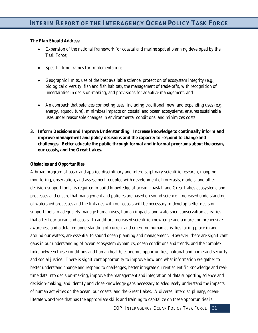## *The Plan Should Address:*

- Expansion of the national framework for coastal and marine spatial planning developed by the Task Force;
- Specific time frames for implementation;
- Geographic limits, use of the best available science, protection of ecosystem integrity (e.g., biological diversity, fish and fish habitat), the management of trade-offs, with recognition of uncertainties in decision-making, and provisions for adaptive management; and
- An approach that balances competing uses, including traditional, new, and expanding uses (e.g., energy, aquaculture), minimizes impacts on coastal and ocean ecosystems, ensures sustainable uses under reasonable changes in environmental conditions, and minimizes costs.
- **3. Inform Decisions and Improve Understanding: Increase knowledge to continually inform and improve management and policy decisions and the capacity to respond to change and challenges. Better educate the public through formal and informal programs about the ocean, our coasts, and the Great Lakes.**

# *Obstacles and Opportunities*

A broad program of basic and applied disciplinary and interdisciplinary scientific research, mapping, monitoring, observation, and assessment, coupled with development of forecasts, models, and other decision-support tools, is required to build knowledge of ocean, coastal, and Great Lakes ecosystems and processes and ensure that management and policies are based on sound science. Increased understanding of watershed processes and the linkages with our coasts will be necessary to develop better decisionsupport tools to adequately manage human uses, human impacts, and watershed conservation activities that affect our ocean and coasts. In addition, increased scientific knowledge and a more comprehensive awareness and a detailed understanding of current and emerging human activities taking place in and around our waters, are essential to sound ocean planning and management. However, there are significant gaps in our understanding of ocean ecosystem dynamics, ocean conditions and trends, and the complex links between these conditions and human health, economic opportunities, national and homeland security and social justice. There is significant opportunity to improve how and what information we gather to better understand change and respond to challenges, better integrate current scientific knowledge and realtime data into decision-making, improve the management and integration of data supporting science and decision-making, and identify and close knowledge gaps necessary to adequately understand the impacts of human activities on the ocean, our coasts, and the Great Lakes. A diverse, interdisciplinary, oceanliterate workforce that has the appropriate skills and training to capitalize on these opportunities is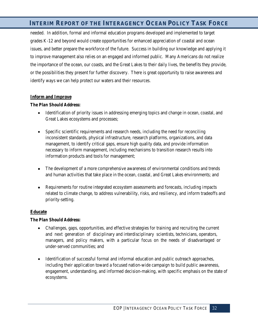needed. In addition, formal and informal education programs developed and implemented to target grades K-12 and beyond would create opportunities for enhanced appreciation of coastal and ocean issues, and better prepare the workforce of the future. Success in building our knowledge and applying it to improve management also relies on an engaged and informed public. Many Americans do not realize the importance of the ocean, our coasts, and the Great Lakes to their daily lives, the benefits they provide, or the possibilities they present for further discovery. There is great opportunity to raise awareness and identify ways we can help protect our waters and their resources.

## **Inform and Improve**

## *The Plan Should Address:*

- Identification of priority issues in addressing emerging topics and change in ocean, coastal, and Great Lakes ecosystems and processes;
- Specific scientific requirements and research needs, including the need for reconciling inconsistent standards, physical infrastructure, research platforms, organizations, and data management, to identify critical gaps, ensure high quality data, and provide information necessary to inform management, including mechanisms to transition research results into information products and tools for management;
- The development of a more comprehensive awareness of environmental conditions and trends and human activities that take place in the ocean, coastal, and Great Lakes environments; and
- Requirements for routine integrated ecosystem assessments and forecasts, including impacts related to climate change, to address vulnerability, risks, and resiliency, and inform tradeoffs and priority-setting.

## **Educate**

- Challenges, gaps, opportunities, and effective strategies for training and recruiting the current and next generation of disciplinary and interdisciplinary scientists, technicians, operators, managers, and policy makers, with a particular focus on the needs of disadvantaged or under-served communities; and
- Identification of successful formal and informal education and public outreach approaches, including their application toward a focused nation-wide campaign to build public awareness, engagement, understanding, and informed decision-making, with specific emphasis on the state of ecosystems.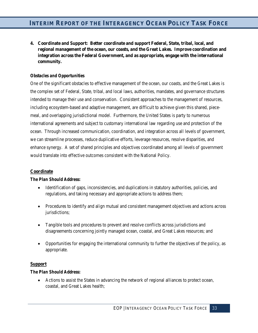**4. Coordinate and Support: Better coordinate and support Federal, State, tribal, local, and regional management of the ocean, our coasts, and the Great Lakes. Improve coordination and integration across the Federal Government, and as appropriate, engage with the international community.**

## *Obstacles and Opportunities*

One of the significant obstacles to effective management of the ocean, our coasts, and the Great Lakes is the complex set of Federal, State, tribal, and local laws, authorities, mandates, and governance structures intended to manage their use and conservation. Consistent approaches to the management of resources, including ecosystem-based and adaptive management, are difficult to achieve given this shared, piecemeal, and overlapping jurisdictional model. Furthermore, the United States is party to numerous international agreements and subject to customary international law regarding use and protection of the ocean. Through increased communication, coordination, and integration across all levels of government, we can streamline processes, reduce duplicative efforts, leverage resources, resolve disparities, and enhance synergy. A set of shared principles and objectives coordinated among all levels of government would translate into effective outcomes consistent with the National Policy.

#### **Coordinate**

#### *The Plan Should Address:*

- Identification of gaps, inconsistencies, and duplications in statutory authorities, policies, and regulations, and taking necessary and appropriate actions to address them;
- Procedures to identify and align mutual and consistent management objectives and actions across jurisdictions;
- Tangible tools and procedures to prevent and resolve conflicts across jurisdictions and disagreements concerning jointly managed ocean, coastal, and Great Lakes resources; and
- Opportunities for engaging the international community to further the objectives of the policy, as appropriate.

## **Support**

#### *The Plan Should Address:*

• Actions to assist the States in advancing the network of regional alliances to protect ocean, coastal, and Great Lakes health;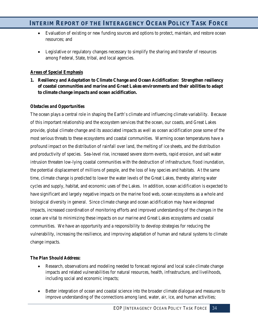- Evaluation of existing or new funding sources and options to protect, maintain, and restore ocean resources; and
- Legislative or regulatory changes necessary to simplify the sharing and transfer of resources among Federal, State, tribal, and local agencies.

## **Areas of Special Emphasis**

**1. Resiliency and Adaptation to Climate Change and Ocean Acidification: Strengthen resiliency of coastal communities and marine and Great Lakes environments and their abilities to adapt to climate change impacts and ocean acidification.** 

## *Obstacles and Opportunities*

The ocean plays a central role in shaping the Earth's climate and influencing climate variability. Because of this important relationship and the ecosystem services that the ocean, our coasts, and Great Lakes provide, global climate change and its associated impacts as well as ocean acidification pose some of the most serious threats to these ecosystems and coastal communities. Warming ocean temperatures have a profound impact on the distribution of rainfall over land, the melting of ice sheets, and the distribution and productivity of species. Sea-level rise, increased severe storm events, rapid erosion, and salt water intrusion threaten low-lying coastal communities with the destruction of infrastructure, flood inundation, the potential displacement of millions of people, and the loss of key species and habitats. At the same time, climate change is predicted to lower the water levels of the Great Lakes, thereby altering water cycles and supply, habitat, and economic uses of the Lakes. In addition, ocean acidification is expected to have significant and largely negative impacts on the marine food web, ocean ecosystems as a whole and biological diversity in general. Since climate change and ocean acidification may have widespread impacts, increased coordination of monitoring efforts and improved understanding of the changes in the ocean are vital to minimizing these impacts on our marine and Great Lakes ecosystems and coastal communities. We have an opportunity and a responsibility to develop strategies for reducing the vulnerability, increasing the resilience, and improving adaptation of human and natural systems to climate change impacts.

- Research, observations and modeling needed to forecast regional and local scale climate change impacts and related vulnerabilities for natural resources, health, infrastructure, and livelihoods, including social and economic impacts;
- Better integration of ocean and coastal science into the broader climate dialogue and measures to improve understanding of the connections among land, water, air, ice, and human activities;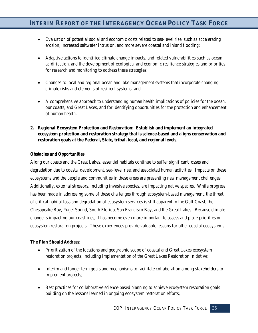- Evaluation of potential social and economic costs related to sea-level rise, such as accelerating erosion, increased saltwater intrusion, and more severe coastal and inland flooding;
- Adaptive actions to identified climate change impacts, and related vulnerabilities such as ocean acidification, and the development of ecological and economic resilience strategies and priorities for research and monitoring to address these strategies;
- Changes to local and regional ocean and lake management systems that incorporate changing climate risks and elements of resilient systems; and
- A comprehensive approach to understanding human health implications of policies for the ocean, our coasts, and Great Lakes, and for identifying opportunities for the protection and enhancement of human health.
- **2. Regional Ecosystem Protection and Restoration: Establish and implement an integrated ecosystem protection and restoration strategy that is science-based and aligns conservation and restoration goals at the Federal, State, tribal, local, and regional levels**.

## *Obstacles and Opportunities*

Along our coasts and the Great Lakes, essential habitats continue to suffer significant losses and degradation due to coastal development, sea-level rise, and associated human activities. Impacts on these ecosystems and the people and communities in these areas are presenting new management challenges. Additionally, external stressors, including invasive species, are impacting native species. While progress has been made in addressing some of these challenges through ecosystem-based management, the threat of critical habitat loss and degradation of ecosystem services is still apparent in the Gulf Coast, the Chesapeake Bay, Puget Sound, South Florida, San Francisco Bay, and the Great Lakes. Because climate change is impacting our coastlines, it has become even more important to assess and place priorities on ecosystem restoration projects. These experiences provide valuable lessons for other coastal ecosystems.

- Prioritization of the locations and geographic scope of coastal and Great Lakes ecosystem restoration projects, including implementation of the Great Lakes Restoration Initiative;
- Interim and longer term goals and mechanisms to facilitate collaboration among stakeholders to implement projects;
- Best practices for collaborative science-based planning to achieve ecosystem restoration goals building on the lessons learned in ongoing ecosystem restoration efforts;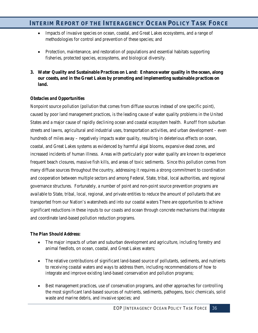- Impacts of invasive species on ocean, coastal, and Great Lakes ecosystems, and a range of methodologies for control and prevention of these species; and
- Protection, maintenance, and restoration of populations and essential habitats supporting fisheries, protected species, ecosystems, and biological diversity.
- **3. Water Quality and Sustainable Practices on Land: Enhance water quality in the ocean, along our coasts, and in the Great Lakes by promoting and implementing sustainable practices on land.**

## *Obstacles and Opportunities*

Nonpoint source pollution (pollution that comes from diffuse sources instead of one specific point), caused by poor land management practices, is the leading cause of water quality problems in the United States and a major cause of rapidly declining ocean and coastal ecosystem health. Runoff from suburban streets and lawns, agricultural and industrial uses, transportation activities, and urban development – even hundreds of miles away – negatively impacts water quality, resulting in deleterious effects on ocean, coastal, and Great Lakes systems as evidenced by harmful algal blooms, expansive dead zones, and increased incidents of human illness. Areas with particularly poor water quality are known to experience frequent beach closures, massive fish kills, and areas of toxic sediments. Since this pollution comes from many diffuse sources throughout the country, addressing it requires a strong commitment to coordination and cooperation between multiple sectors and among Federal, State, tribal, local authorities, and regional governance structures. Fortunately, a number of point and non-point source prevention programs are available to State, tribal, local, regional, and private entities to reduce the amount of pollutants that are transported from our Nation's watersheds and into our coastal waters There are opportunities to achieve significant reductions in these inputs to our coasts and ocean through concrete mechanisms that integrate and coordinate land-based pollution reduction programs.

- The major impacts of urban and suburban development and agriculture, including forestry and animal feedlots, on ocean, coastal, and Great Lakes waters;
- The relative contributions of significant land-based source of pollutants, sediments, and nutrients to receiving coastal waters and ways to address them, including recommendations of how to integrate and improve existing land-based conservation and pollution programs;
- Best management practices, use of conservation programs, and other approaches for controlling the most significant land-based sources of nutrients, sediments, pathogens, toxic chemicals, solid waste and marine debris, and invasive species; and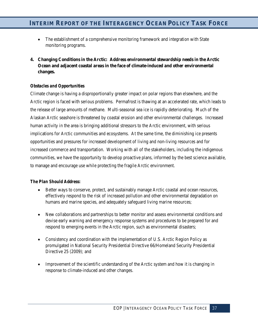- The establishment of a comprehensive monitoring framework and integration with State monitoring programs.
- **4. Changing Conditions in the Arctic: Address environmental stewardship needs in the Arctic Ocean and adjacent coastal areas in the face of climate-induced and other environmental changes.**

## *Obstacles and Opportunities*

Climate change is having a disproportionally greater impact on polar regions than elsewhere, and the Arctic region is faced with serious problems. Permafrost is thawing at an accelerated rate, which leads to the release of large amounts of methane. Multi-seasonal sea ice is rapidly deteriorating. Much of the Alaskan Arctic seashore is threatened by coastal erosion and other environmental challenges. Increased human activity in the area is bringing additional stressors to the Arctic environment, with serious implications for Arctic communities and ecosystems. At the same time, the diminishing ice presents opportunities and pressures for increased development of living and non-living resources and for increased commerce and transportation. Working with all of the stakeholders, including the indigenous communities, we have the opportunity to develop proactive plans, informed by the best science available, to manage and encourage use while protecting the fragile Arctic environment.

- Better ways to conserve, protect, and sustainably manage Arctic coastal and ocean resources, effectively respond to the risk of increased pollution and other environmental degradation on humans and marine species, and adequately safeguard living marine resources;
- New collaborations and partnerships to better monitor and assess environmental conditions and devise early warning and emergency response systems and procedures to be prepared for and respond to emerging events in the Arctic region, such as environmental disasters;
- Consistency and coordination with the implementation of U.S. Arctic Region Policy as promulgated in National Security Presidential Directive 66/Homeland Security Presidential Directive 25 (2009); and
- Improvement of the scientific understanding of the Arctic system and how it is changing in response to climate-induced and other changes.